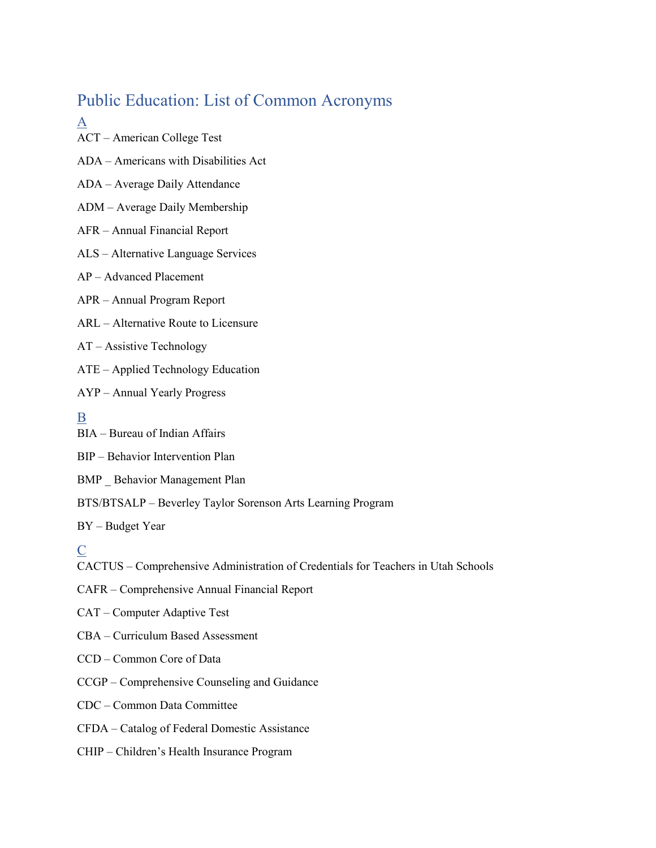# Public Education: List of Common Acronyms

### A

ACT – American College Test

ADA – Americans with Disabilities Act

ADA – Average Daily Attendance

#### ADM – Average Daily Membership

- AFR Annual Financial Report
- ALS Alternative Language Services
- AP Advanced Placement
- APR Annual Program Report
- ARL Alternative Route to Licensure
- AT Assistive Technology
- ATE Applied Technology Education
- AYP Annual Yearly Progress

# B

- BIA Bureau of Indian Affairs
- BIP Behavior Intervention Plan
- BMP \_ Behavior Management Plan
- BTS/BTSALP Beverley Taylor Sorenson Arts Learning Program

BY – Budget Year

# C

- CACTUS Comprehensive Administration of Credentials for Teachers in Utah Schools
- CAFR Comprehensive Annual Financial Report
- CAT Computer Adaptive Test
- CBA Curriculum Based Assessment
- CCD Common Core of Data
- CCGP Comprehensive Counseling and Guidance
- CDC Common Data Committee
- CFDA Catalog of Federal Domestic Assistance
- CHIP Children's Health Insurance Program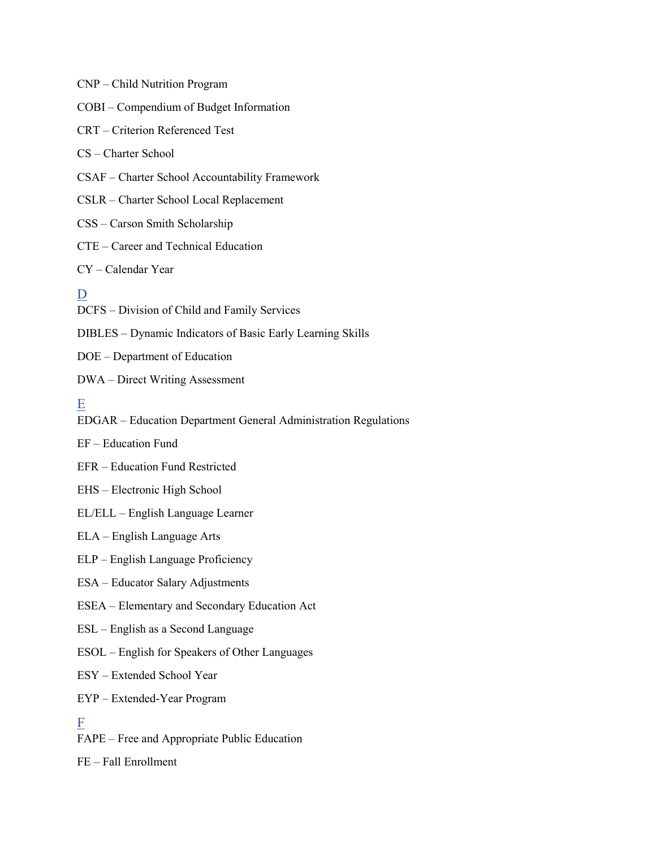CNP – Child Nutrition Program COBI – Compendium of Budget Information CRT – Criterion Referenced Test CS – Charter School CSAF – Charter School Accountability Framework CSLR – Charter School Local Replacement CSS – Carson Smith Scholarship CTE – Career and Technical Education CY – Calendar Year D DCFS – Division of Child and Family Services DIBLES – Dynamic Indicators of Basic Early Learning Skills DOE – Department of Education DWA – Direct Writing Assessment E EDGAR – Education Department General Administration Regulations EF – Education Fund EFR – Education Fund Restricted EHS – Electronic High School EL/ELL – English Language Learner ELA – English Language Arts ELP – English Language Proficiency ESA – Educator Salary Adjustments ESEA – Elementary and Secondary Education Act ESL – English as a Second Language ESOL – English for Speakers of Other Languages ESY – Extended School Year EYP – Extended‐Year Program F FAPE – Free and Appropriate Public Education FE – Fall Enrollment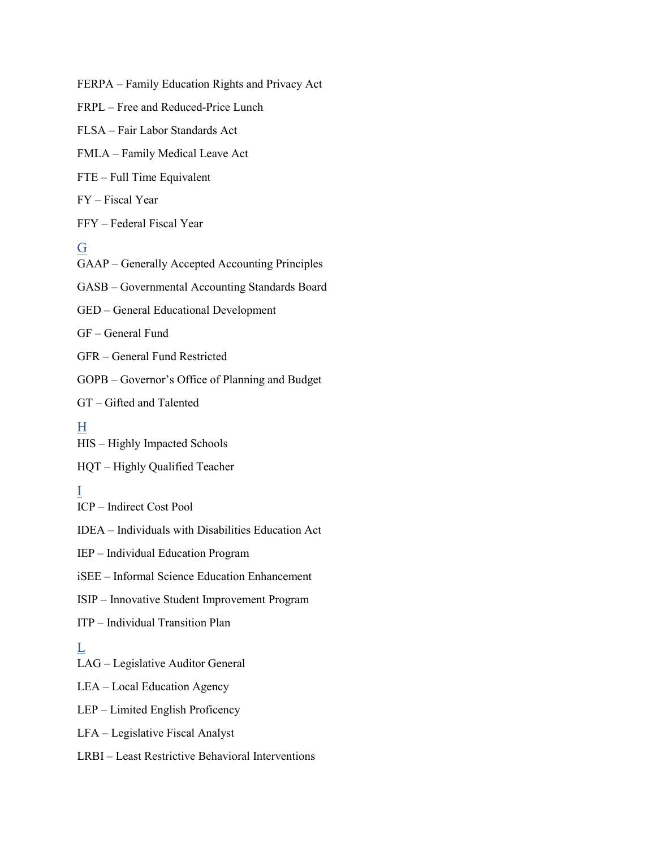FERPA – Family Education Rights and Privacy Act

FRPL – Free and Reduced-Price Lunch

FLSA – Fair Labor Standards Act

FMLA – Family Medical Leave Act

FTE – Full Time Equivalent

FY – Fiscal Year

FFY – Federal Fiscal Year

#### G

GAAP – Generally Accepted Accounting Principles

GASB – Governmental Accounting Standards Board

GED – General Educational Development

GF – General Fund

GFR – General Fund Restricted

GOPB – Governor's Office of Planning and Budget

GT – Gifted and Talented

#### H

HIS – Highly Impacted Schools

HQT – Highly Qualified Teacher

# I

ICP – Indirect Cost Pool

IDEA – Individuals with Disabilities Education Act

IEP – Individual Education Program

iSEE – Informal Science Education Enhancement

ISIP – Innovative Student Improvement Program

ITP – Individual Transition Plan

#### $\overline{L}$

LAG – Legislative Auditor General

LEA – Local Education Agency

LEP – Limited English Proficency

LFA – Legislative Fiscal Analyst

LRBI – Least Restrictive Behavioral Interventions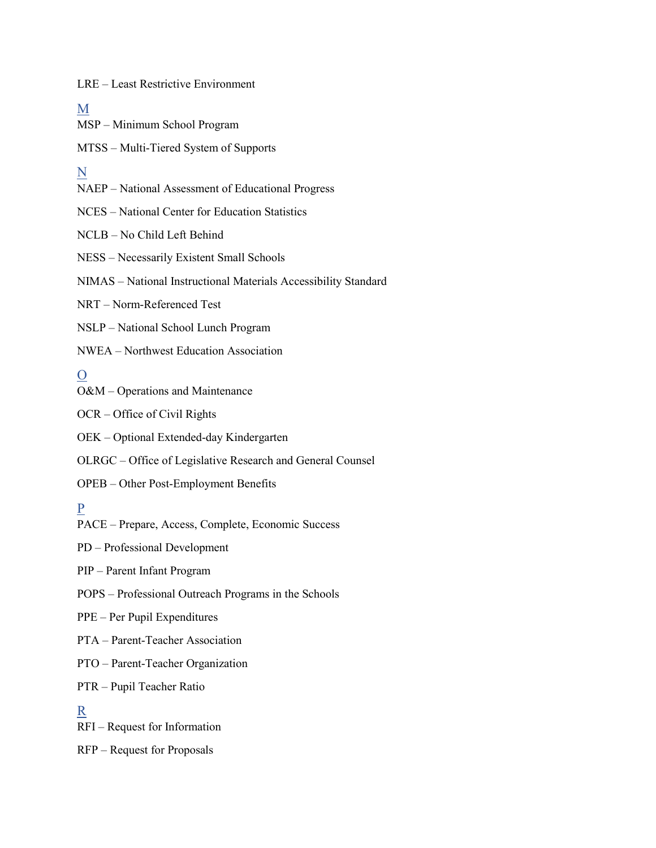LRE – Least Restrictive Environment

#### M

MSP – Minimum School Program

MTSS – Multi‐Tiered System of Supports

## N

NAEP – National Assessment of Educational Progress

NCES – National Center for Education Statistics

NCLB – No Child Left Behind

NESS – Necessarily Existent Small Schools

NIMAS – National Instructional Materials Accessibility Standard

NRT – Norm-Referenced Test

NSLP – National School Lunch Program

NWEA – Northwest Education Association

# O

O&M – Operations and Maintenance

OCR – Office of Civil Rights

OEK – Optional Extended‐day Kindergarten

OLRGC – Office of Legislative Research and General Counsel

OPEB – Other Post‐Employment Benefits

### P

PACE – Prepare, Access, Complete, Economic Success

PD – Professional Development

PIP – Parent Infant Program

- POPS Professional Outreach Programs in the Schools
- PPE Per Pupil Expenditures
- PTA Parent‐Teacher Association

PTO – Parent‐Teacher Organization

PTR – Pupil Teacher Ratio

#### R

RFI – Request for Information

RFP – Request for Proposals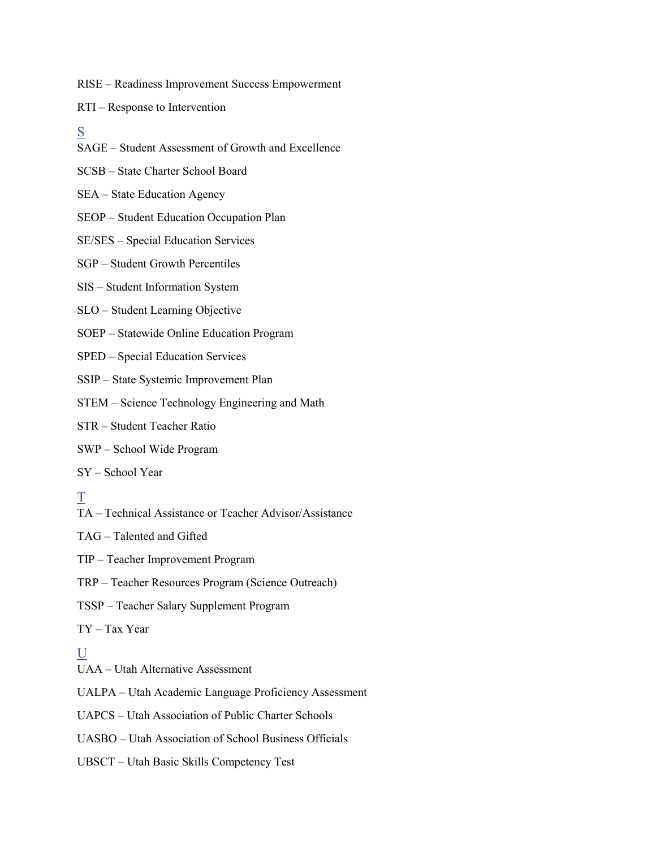RISE – Readiness Improvement Success Empowerment

- RTI Response to Intervention
- S
- SAGE Student Assessment of Growth and Excellence
- SCSB State Charter School Board
- SEA State Education Agency
- SEOP Student Education Occupation Plan
- SE/SES Special Education Services
- SGP Student Growth Percentiles
- SIS Student Information System
- SLO Student Learning Objective
- SOEP Statewide Online Education Program
- SPED Special Education Services
- SSIP State Systemic Improvement Plan
- STEM Science Technology Engineering and Math
- STR Student Teacher Ratio
- SWP School Wide Program
- SY School Year

# T

TA – Technical Assistance or Teacher Advisor/Assistance

- TAG Talented and Gifted
- TIP Teacher Improvement Program
- TRP Teacher Resources Program (Science Outreach)
- TSSP Teacher Salary Supplement Program
- TY Tax Year

## $U$

- UAA Utah Alternative Assessment
- UALPA Utah Academic Language Proficiency Assessment
- UAPCS Utah Association of Public Charter Schools
- UASBO Utah Association of School Business Officials
- UBSCT Utah Basic Skills Competency Test